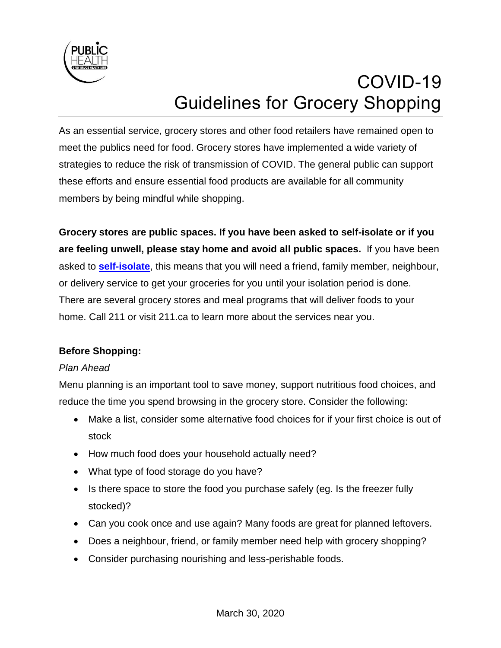

# COVID-19 Guidelines for Grocery Shopping

As an essential service, grocery stores and other food retailers have remained open to meet the publics need for food. Grocery stores have implemented a wide variety of strategies to reduce the risk of transmission of COVID. The general public can support these efforts and ensure essential food products are available for all community members by being mindful while shopping.

**Grocery stores are public spaces. If you have been asked to self-isolate or if you are feeling unwell, please stay home and avoid all public spaces.** If you have been asked to **[self-isolate](https://www.publichealthontario.ca/-/media/documents/ncov/factsheet-covid-19-how-to-self-isolate.pdf?la=en)**, this means that you will need a friend, family member, neighbour, or delivery service to get your groceries for you until your isolation period is done. There are several grocery stores and meal programs that will deliver foods to your home. Call 211 or visit 211.ca to learn more about the services near you.

## **Before Shopping:**

## *Plan Ahead*

Menu planning is an important tool to save money, support nutritious food choices, and reduce the time you spend browsing in the grocery store. Consider the following:

- Make a list, consider some alternative food choices for if your first choice is out of stock
- How much food does your household actually need?
- What type of food storage do you have?
- Is there space to store the food you purchase safely (eg. Is the freezer fully stocked)?
- Can you cook once and use again? Many foods are great for planned leftovers.
- Does a neighbour, friend, or family member need help with grocery shopping?
- Consider purchasing nourishing and less-perishable foods.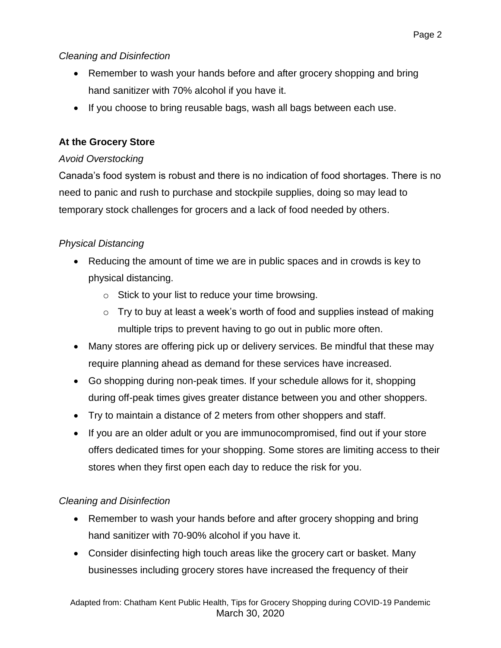## *Cleaning and Disinfection*

- Remember to wash your hands before and after grocery shopping and bring hand sanitizer with 70% alcohol if you have it.
- If you choose to bring reusable bags, wash all bags between each use.

# **At the Grocery Store**

## *Avoid Overstocking*

Canada's food system is robust and there is no indication of food shortages. There is no need to panic and rush to purchase and stockpile supplies, doing so may lead to temporary stock challenges for grocers and a lack of food needed by others.

# *Physical Distancing*

- Reducing the amount of time we are in public spaces and in crowds is key to physical distancing.
	- o Stick to your list to reduce your time browsing.
	- $\circ$  Try to buy at least a week's worth of food and supplies instead of making multiple trips to prevent having to go out in public more often.
- Many stores are offering pick up or delivery services. Be mindful that these may require planning ahead as demand for these services have increased.
- Go shopping during non-peak times. If your schedule allows for it, shopping during off-peak times gives greater distance between you and other shoppers.
- Try to maintain a distance of 2 meters from other shoppers and staff.
- If you are an older adult or you are immunocompromised, find out if your store offers dedicated times for your shopping. Some stores are limiting access to their stores when they first open each day to reduce the risk for you.

# *Cleaning and Disinfection*

- Remember to wash your hands before and after grocery shopping and bring hand sanitizer with 70-90% alcohol if you have it.
- Consider disinfecting high touch areas like the grocery cart or basket. Many businesses including grocery stores have increased the frequency of their